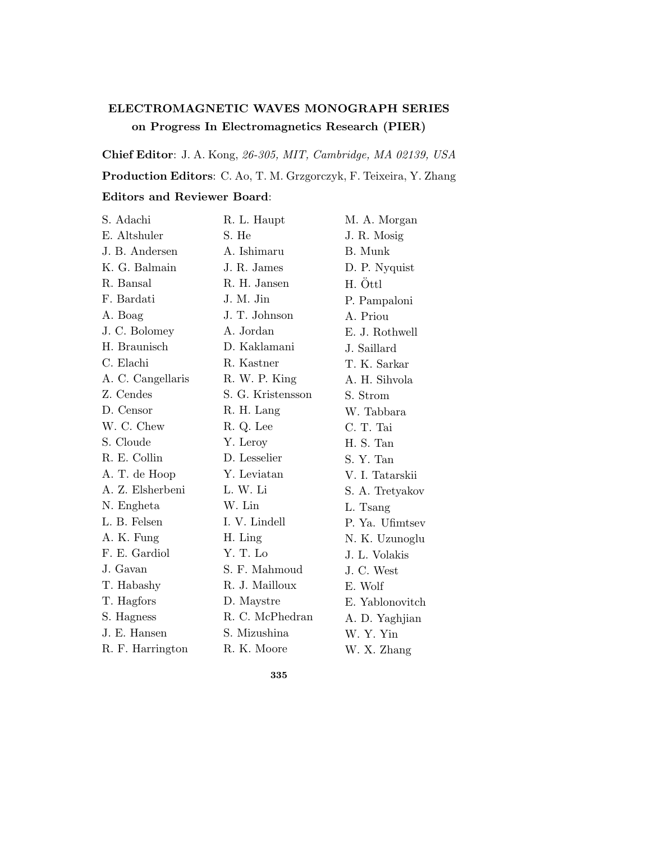## **ELECTROMAGNETIC WAVES MONOGRAPH SERIES on Progress In Electromagnetics Research (PIER)**

**Chief Editor**: J. A. Kong, 26-305, MIT, Cambridge, MA 02139, USA **Production Editors**: C. Ao, T. M. Grzgorczyk, F. Teixeira, Y. Zhang **Editors and Reviewer Board**:

| S. Adachi         | R. L. Haupt       | M. A. Morgan    |
|-------------------|-------------------|-----------------|
| E. Altshuler      | S. He             | J. R. Mosig     |
| J. B. Andersen    | A. Ishimaru       | B. Munk         |
| K. G. Balmain     | J. R. James       | D. P. Nyquist   |
| R. Bansal         | R. H. Jansen      | H. Ottl         |
| F. Bardati        | J. M. Jin         | P. Pampaloni    |
| A. Boag           | J. T. Johnson     | A. Priou        |
| J. C. Bolomey     | A. Jordan         | E. J. Rothwell  |
| H. Braunisch      | D. Kaklamani      | J. Saillard     |
| C. Elachi         | R. Kastner        | T. K. Sarkar    |
| A. C. Cangellaris | R. W. P. King     | A. H. Sihvola   |
| Z. Cendes         | S. G. Kristensson | S. Strom        |
| D. Censor         | R. H. Lang        | W. Tabbara      |
| W. C. Chew        | R. Q. Lee         | C. T. Tai       |
| S. Cloude         | Y. Leroy          | H. S. Tan       |
| R. E. Collin      | D. Lesselier      | S. Y. Tan       |
| A. T. de Hoop     | Y. Leviatan       | V. I. Tatarskii |
| A. Z. Elsherbeni  | L. W. Li          | S. A. Tretyakov |
| N. Engheta        | W. Lin            | L. Tsang        |
| L. B. Felsen      | I. V. Lindell     | P. Ya. Ufimtsev |
| A. K. Fung        | H. Ling           | N. K. Uzunoglu  |
| F. E. Gardiol     | Y. T. Lo          | J. L. Volakis   |
| J. Gavan          | S. F. Mahmoud     | J. C. West      |
| T. Habashy        | R. J. Mailloux    | E. Wolf         |
| T. Hagfors        | D. Maystre        | E. Yablonovitch |
| S. Hagness        | R. C. McPhedran   | A. D. Yaghjian  |
| J. E. Hansen      | S. Mizushina      | W. Y. Yin       |
| R. F. Harrington  | R. K. Moore       | W. X. Zhang     |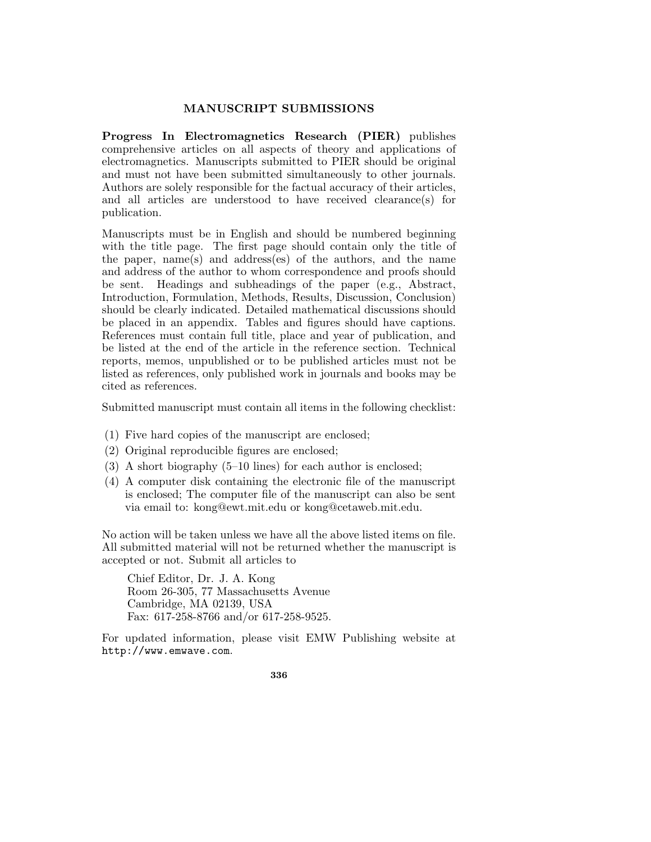## **MANUSCRIPT SUBMISSIONS**

**Progress In Electromagnetics Research (PIER)** publishes comprehensive articles on all aspects of theory and applications of electromagnetics. Manuscripts submitted to PIER should be original and must not have been submitted simultaneously to other journals. Authors are solely responsible for the factual accuracy of their articles, and all articles are understood to have received clearance(s) for publication.

Manuscripts must be in English and should be numbered beginning with the title page. The first page should contain only the title of the paper, name(s) and address(es) of the authors, and the name and address of the author to whom correspondence and proofs should be sent. Headings and subheadings of the paper (e.g., Abstract, Introduction, Formulation, Methods, Results, Discussion, Conclusion) should be clearly indicated. Detailed mathematical discussions should be placed in an appendix. Tables and figures should have captions. References must contain full title, place and year of publication, and be listed at the end of the article in the reference section. Technical reports, memos, unpublished or to be published articles must not be listed as references, only published work in journals and books may be cited as references.

Submitted manuscript must contain all items in the following checklist:

- (1) Five hard copies of the manuscript are enclosed;
- (2) Original reproducible figures are enclosed;
- (3) A short biography  $(5-10 \text{ lines})$  for each author is enclosed;
- (4) A computer disk containing the electronic file of the manuscript is enclosed; The computer file of the manuscript can also be sent via email to: kong@ewt.mit.edu or kong@cetaweb.mit.edu.

No action will be taken unless we have all the above listed items on file. All submitted material will not be returned whether the manuscript is accepted or not. Submit all articles to

Chief Editor, Dr. J. A. Kong Room 26-305, 77 Massachusetts Avenue Cambridge, MA 02139, USA Fax: 617-258-8766 and/or 617-258-9525.

For updated information, please visit EMW Publishing website at http://www.emwave.com.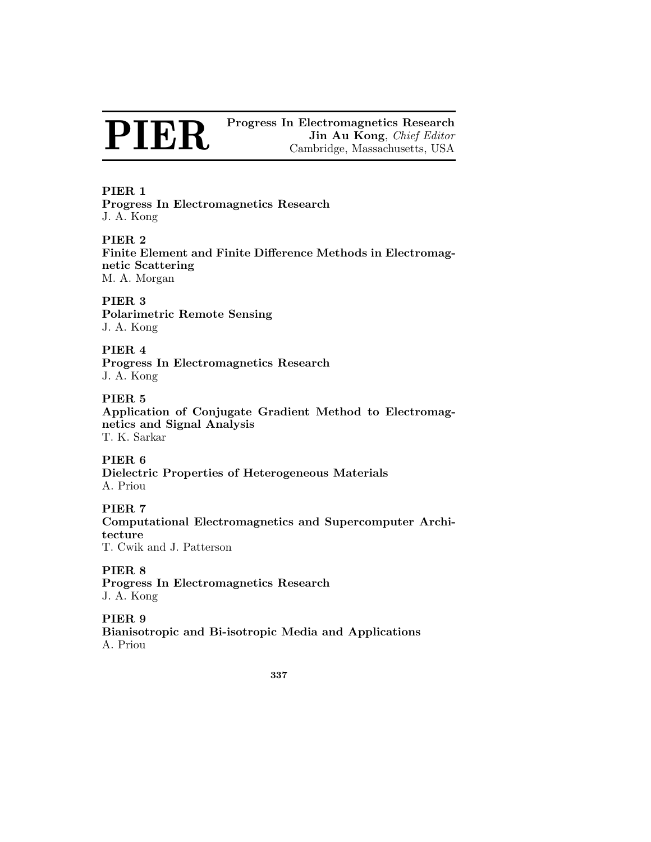**PIER 1 Progress In Electromagnetics Research** J. A. Kong

**PIER 2 Finite Element and Finite Difference Methods in Electromagnetic Scattering** M. A. Morgan

**PIER 3 Polarimetric Remote Sensing** J. A. Kong

## **PIER 4 Progress In Electromagnetics Research** J. A. Kong

**PIER 5 Application of Conjugate Gradient Method to Electromagnetics and Signal Analysis** T. K. Sarkar

**PIER 6 Dielectric Properties of Heterogeneous Materials** A. Priou

## **PIER 7**

**Computational Electromagnetics and Supercomputer Architecture** T. Cwik and J. Patterson

**PIER 8**

**Progress In Electromagnetics Research** J. A. Kong

## **PIER 9**

**Bianisotropic and Bi-isotropic Media and Applications** A. Priou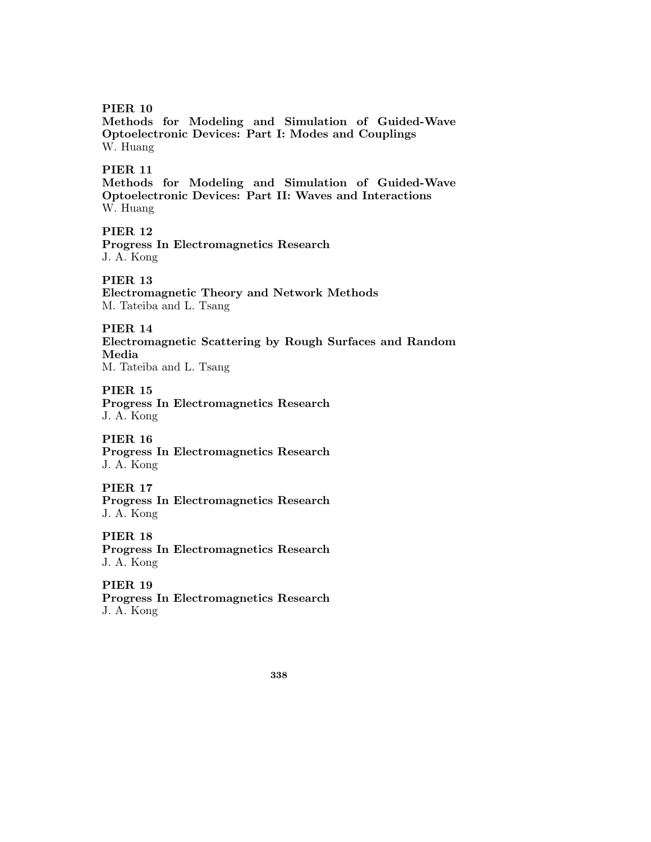**Methods for Modeling and Simulation of Guided-Wave Optoelectronic Devices: Part I: Modes and Couplings** W. Huang

## **PIER 11**

**Methods for Modeling and Simulation of Guided-Wave Optoelectronic Devices: Part II: Waves and Interactions** W. Huang

## **PIER 12**

**Progress In Electromagnetics Research** J. A. Kong

**PIER 13**

**Electromagnetic Theory and Network Methods** M. Tateiba and L. Tsang

**PIER 14**

**Electromagnetic Scattering by Rough Surfaces and Random Media**

M. Tateiba and L. Tsang

**PIER 15 Progress In Electromagnetics Research** J. A. Kong

**PIER 16 Progress In Electromagnetics Research** J. A. Kong

**PIER 17 Progress In Electromagnetics Research** J. A. Kong

**PIER 18 Progress In Electromagnetics Research** J. A. Kong

**PIER 19 Progress In Electromagnetics Research** J. A. Kong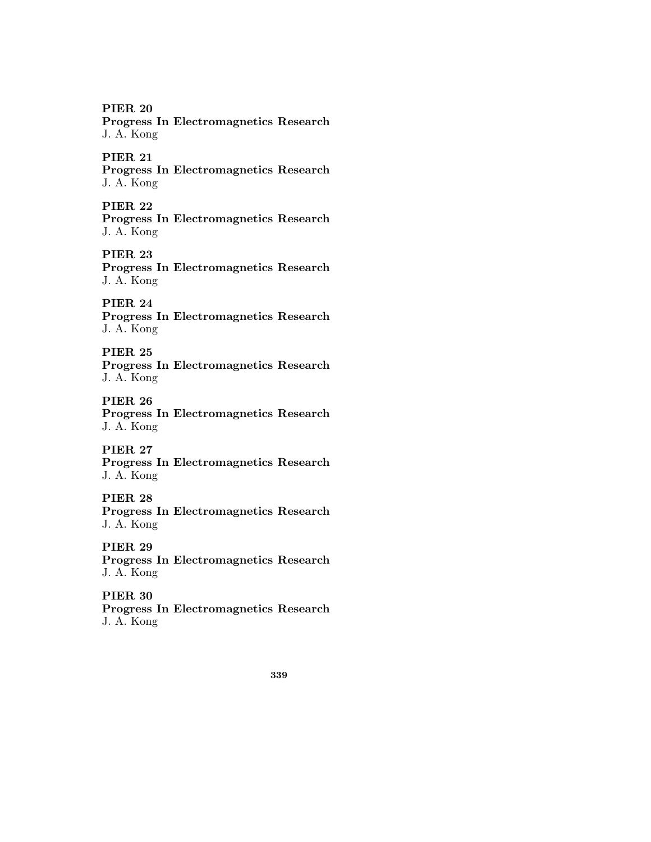**Progress In Electromagnetics Research** J. A. Kong

## **PIER 21**

**Progress In Electromagnetics Research** J. A. Kong

## **PIER 22**

**Progress In Electromagnetics Research** J. A. Kong

## **PIER 23**

**Progress In Electromagnetics Research** J. A. Kong

## **PIER 24**

**Progress In Electromagnetics Research** J. A. Kong

## **PIER 25**

**Progress In Electromagnetics Research** J. A. Kong

## **PIER 26**

**Progress In Electromagnetics Research** J. A. Kong

## **PIER 27**

**Progress In Electromagnetics Research** J. A. Kong

## **PIER 28**

**Progress In Electromagnetics Research** J. A. Kong

## **PIER 29**

**Progress In Electromagnetics Research** J. A. Kong

## **PIER 30**

**Progress In Electromagnetics Research** J. A. Kong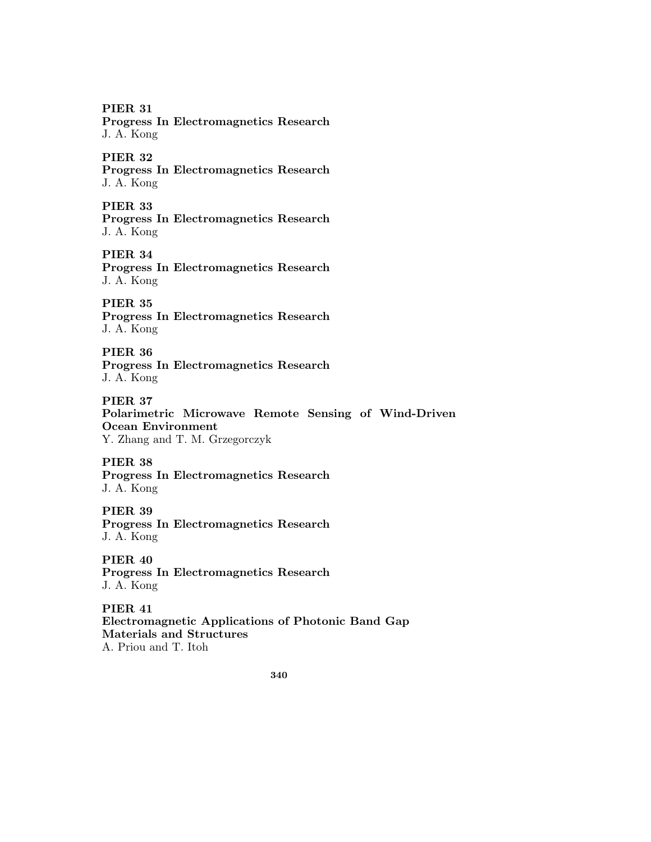**Progress In Electromagnetics Research** J. A. Kong

## **PIER 32**

**Progress In Electromagnetics Research** J. A. Kong

## **PIER 33**

**Progress In Electromagnetics Research** J. A. Kong

### **PIER 34**

**Progress In Electromagnetics Research** J. A. Kong

## **PIER 35**

**Progress In Electromagnetics Research** J. A. Kong

## **PIER 36**

**Progress In Electromagnetics Research** J. A. Kong

## **PIER 37**

**Polarimetric Microwave Remote Sensing of Wind-Driven Ocean Environment**

Y. Zhang and T. M. Grzegorczyk

#### **PIER 38**

**Progress In Electromagnetics Research** J. A. Kong

### **PIER 39**

**Progress In Electromagnetics Research** J. A. Kong

## **PIER 40**

**Progress In Electromagnetics Research** J. A. Kong

# **PIER 41**

**Electromagnetic Applications of Photonic Band Gap Materials and Structures** A. Priou and T. Itoh